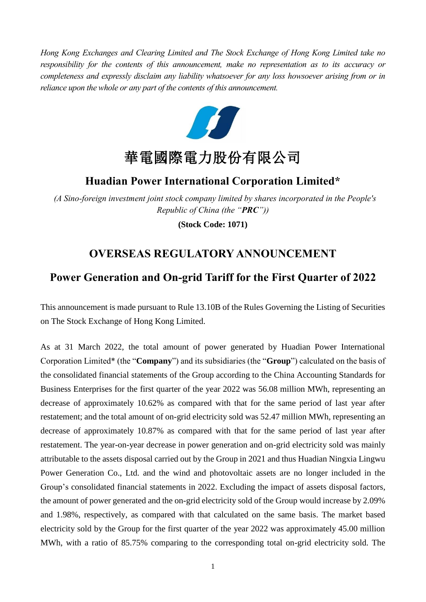*Hong Kong Exchanges and Clearing Limited and The Stock Exchange of Hong Kong Limited take no responsibility for the contents of this announcement, make no representation as to its accuracy or completeness and expressly disclaim any liability whatsoever for any loss howsoever arising from or in reliance upon the whole or any part of the contents of this announcement.*



## **Huadian Power International Corporation Limited\***

*(A Sino-foreign investment joint stock company limited by shares incorporated in the People's Republic of China (the "PRC"))*

**(Stock Code: 1071)**

## **OVERSEAS REGULATORY ANNOUNCEMENT**

## **Power Generation and On-grid Tariff for the First Quarter of 2022**

This announcement is made pursuant to Rule 13.10B of the Rules Governing the Listing of Securities on The Stock Exchange of Hong Kong Limited.

As at 31 March 2022, the total amount of power generated by Huadian Power International Corporation Limited\* (the "**Company**") and its subsidiaries (the "**Group**") calculated on the basis of the consolidated financial statements of the Group according to the China Accounting Standards for Business Enterprises for the first quarter of the year 2022 was 56.08 million MWh, representing an decrease of approximately 10.62% as compared with that for the same period of last year after restatement; and the total amount of on-grid electricity sold was 52.47 million MWh, representing an decrease of approximately 10.87% as compared with that for the same period of last year after restatement. The year-on-year decrease in power generation and on-grid electricity sold was mainly attributable to the assets disposal carried out by the Group in 2021 and thus Huadian Ningxia Lingwu Power Generation Co., Ltd. and the wind and photovoltaic assets are no longer included in the Group's consolidated financial statements in 2022. Excluding the impact of assets disposal factors, the amount of power generated and the on-grid electricity sold of the Group would increase by 2.09% and 1.98%, respectively, as compared with that calculated on the same basis. The market based electricity sold by the Group for the first quarter of the year 2022 was approximately 45.00 million MWh, with a ratio of 85.75% comparing to the corresponding total on-grid electricity sold. The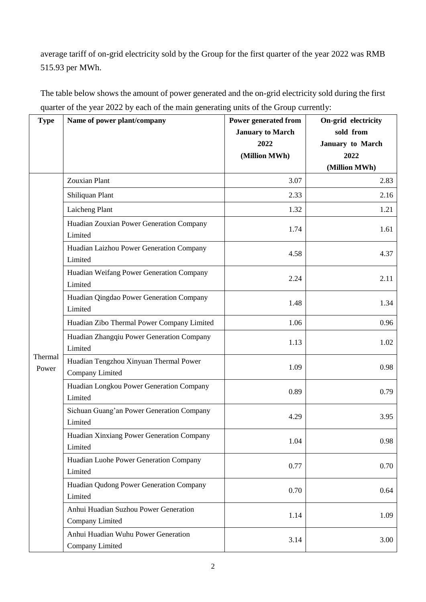average tariff of on-grid electricity sold by the Group for the first quarter of the year 2022 was RMB 515.93 per MWh.

| <b>Type</b>      | Name of power plant/company                               | Power generated from<br><b>January to March</b><br>2022<br>(Million MWh) | On-grid electricity<br>sold from<br>January to March<br>2022 |
|------------------|-----------------------------------------------------------|--------------------------------------------------------------------------|--------------------------------------------------------------|
|                  |                                                           |                                                                          | (Million MWh)                                                |
|                  | <b>Zouxian Plant</b>                                      | 3.07                                                                     | 2.83                                                         |
|                  | Shiliquan Plant                                           | 2.33                                                                     | 2.16                                                         |
|                  | Laicheng Plant                                            | 1.32                                                                     | 1.21                                                         |
|                  | Huadian Zouxian Power Generation Company<br>Limited       | 1.74                                                                     | 1.61                                                         |
|                  | Huadian Laizhou Power Generation Company<br>Limited       | 4.58                                                                     | 4.37                                                         |
|                  | Huadian Weifang Power Generation Company<br>Limited       | 2.24                                                                     | 2.11                                                         |
|                  | Huadian Qingdao Power Generation Company<br>Limited       | 1.48                                                                     | 1.34                                                         |
|                  | Huadian Zibo Thermal Power Company Limited                | 1.06                                                                     | 0.96                                                         |
| Thermal<br>Power | Huadian Zhangqiu Power Generation Company<br>Limited      | 1.13                                                                     | 1.02                                                         |
|                  | Huadian Tengzhou Xinyuan Thermal Power<br>Company Limited | 1.09                                                                     | 0.98                                                         |
|                  | Huadian Longkou Power Generation Company<br>Limited       | 0.89                                                                     | 0.79                                                         |
|                  | Sichuan Guang'an Power Generation Company<br>Limited      | 4.29                                                                     | 3.95                                                         |
|                  | Huadian Xinxiang Power Generation Company<br>Limited      | 1.04                                                                     | 0.98                                                         |
|                  | Huadian Luohe Power Generation Company<br>Limited         | 0.77                                                                     | 0.70                                                         |
|                  | Huadian Qudong Power Generation Company<br>Limited        | 0.70                                                                     | 0.64                                                         |
|                  | Anhui Huadian Suzhou Power Generation<br>Company Limited  | 1.14                                                                     | 1.09                                                         |
|                  | Anhui Huadian Wuhu Power Generation<br>Company Limited    | 3.14                                                                     | 3.00                                                         |

The table below shows the amount of power generated and the on-grid electricity sold during the first quarter of the year 2022 by each of the main generating units of the Group currently: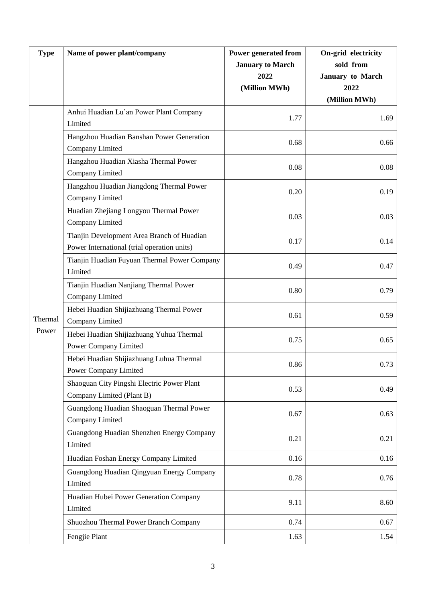| <b>Type</b> | Name of power plant/company                                 | Power generated from    | On-grid electricity   |
|-------------|-------------------------------------------------------------|-------------------------|-----------------------|
|             |                                                             | <b>January to March</b> | sold from             |
|             |                                                             | 2022                    | January to March      |
|             |                                                             | (Million MWh)           | 2022<br>(Million MWh) |
|             | Anhui Huadian Lu'an Power Plant Company                     |                         |                       |
|             | Limited                                                     | 1.77                    | 1.69                  |
|             | Hangzhou Huadian Banshan Power Generation                   | 0.68                    | 0.66                  |
|             | Company Limited                                             |                         |                       |
|             | Hangzhou Huadian Xiasha Thermal Power                       | 0.08                    | 0.08                  |
|             | Company Limited                                             |                         |                       |
|             | Hangzhou Huadian Jiangdong Thermal Power                    | 0.20                    | 0.19                  |
|             | Company Limited                                             |                         |                       |
|             | Huadian Zhejiang Longyou Thermal Power                      | 0.03                    | 0.03                  |
|             | Company Limited                                             |                         |                       |
|             | Tianjin Development Area Branch of Huadian                  | 0.17                    | 0.14                  |
|             | Power International (trial operation units)                 |                         |                       |
|             | Tianjin Huadian Fuyuan Thermal Power Company<br>Limited     | 0.49                    | 0.47                  |
|             | Tianjin Huadian Nanjiang Thermal Power                      |                         |                       |
|             | Company Limited                                             | 0.80                    | 0.79                  |
|             | Hebei Huadian Shijiazhuang Thermal Power                    |                         |                       |
| Thermal     | Company Limited                                             | 0.61                    | 0.59                  |
| Power       | Hebei Huadian Shijiazhuang Yuhua Thermal                    | 0.75                    | 0.65                  |
|             | Power Company Limited                                       |                         |                       |
|             | Hebei Huadian Shijiazhuang Luhua Thermal                    | 0.86                    | 0.73                  |
|             | Power Company Limited                                       |                         |                       |
|             | Shaoguan City Pingshi Electric Power Plant                  | 0.53                    | 0.49                  |
|             | Company Limited (Plant B)                                   |                         |                       |
|             | Guangdong Huadian Shaoguan Thermal Power<br>Company Limited | 0.67                    | 0.63                  |
|             | Guangdong Huadian Shenzhen Energy Company                   |                         |                       |
|             | Limited                                                     | 0.21                    | 0.21                  |
|             | Huadian Foshan Energy Company Limited                       | 0.16                    | 0.16                  |
|             | Guangdong Huadian Qingyuan Energy Company                   |                         |                       |
|             | Limited                                                     | 0.78                    | 0.76                  |
|             | Huadian Hubei Power Generation Company                      | 9.11                    | 8.60                  |
|             | Limited                                                     |                         |                       |
|             | Shuozhou Thermal Power Branch Company                       | 0.74                    | 0.67                  |
|             | Fengjie Plant                                               | 1.63                    | 1.54                  |